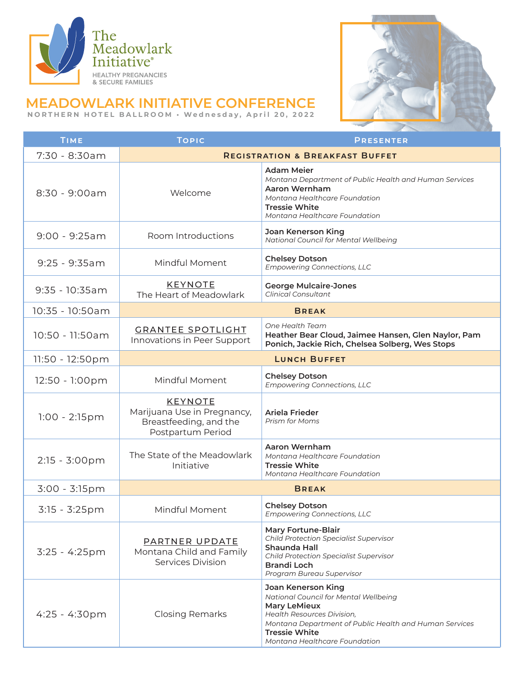



## **MEADOWLARK INITIATIVE CONFERENCE**

**NORTHERN HOTEL BALLROOM • Wednesday, April 20, 2022**

| TIME                    | <b>TOPIC</b>                                                                                 | <b>PRESENTER</b>                                                                                                                                                                                                                           |  |
|-------------------------|----------------------------------------------------------------------------------------------|--------------------------------------------------------------------------------------------------------------------------------------------------------------------------------------------------------------------------------------------|--|
| 7:30 - 8:30am           | <b>REGISTRATION &amp; BREAKFAST BUFFET</b>                                                   |                                                                                                                                                                                                                                            |  |
| $8:30 - 9:00am$         | Welcome                                                                                      | Adam Meier<br>Montana Department of Public Health and Human Services<br>Aaron Wernham<br>Montana Healthcare Foundation<br><b>Tressie White</b><br>Montana Healthcare Foundation                                                            |  |
| $9:00 - 9:25am$         | Room Introductions                                                                           | Joan Kenerson King<br>National Council for Mental Wellbeing                                                                                                                                                                                |  |
| $9:25 - 9:35am$         | Mindful Moment                                                                               | <b>Chelsey Dotson</b><br><b>Empowering Connections, LLC</b>                                                                                                                                                                                |  |
| $9:35 - 10:35am$        | <b>KEYNOTE</b><br>The Heart of Meadowlark                                                    | <b>George Mulcaire-Jones</b><br><b>Clinical Consultant</b>                                                                                                                                                                                 |  |
| 10:35 - 10:50am         | <b>BREAK</b>                                                                                 |                                                                                                                                                                                                                                            |  |
| 10:50 - 11:50am         | <b>GRANTEE SPOTLIGHT</b><br>Innovations in Peer Support                                      | One Health Team<br>Heather Bear Cloud, Jaimee Hansen, Glen Naylor, Pam<br>Ponich, Jackie Rich, Chelsea Solberg, Wes Stops                                                                                                                  |  |
| 11:50 - 12:50pm         | <b>LUNCH BUFFET</b>                                                                          |                                                                                                                                                                                                                                            |  |
| 12:50 - 1:00pm          | Mindful Moment                                                                               | <b>Chelsey Dotson</b><br><b>Empowering Connections, LLC</b>                                                                                                                                                                                |  |
| $1:00 - 2:15pm$         | <b>KEYNOTE</b><br>Marijuana Use in Pregnancy,<br>Breastfeeding, and the<br>Postpartum Period | Ariela Frieder<br>Prism for Moms                                                                                                                                                                                                           |  |
| 2:15 - 3:00pm           | The State of the Meadowlark<br>Initiative                                                    | Aaron Wernham<br>Montana Healthcare Foundation<br><b>Tressie White</b><br>Montana Healthcare Foundation                                                                                                                                    |  |
| 3:00 - 3:15pm           |                                                                                              | <b>BREAK</b>                                                                                                                                                                                                                               |  |
| 3:15 - 3:25pm           | Mindful Moment                                                                               | <b>Chelsey Dotson</b><br><b>Empowering Connections, LLC</b>                                                                                                                                                                                |  |
| 3:25 - 4:25pm           | PARTNER UPDATE<br>Montana Child and Family<br>Services Division                              | <b>Mary Fortune-Blair</b><br><b>Child Protection Specialist Supervisor</b><br>Shaunda Hall<br><b>Child Protection Specialist Supervisor</b><br>Brandi Loch<br>Program Bureau Supervisor                                                    |  |
| $4:25 - 4:30 \text{pm}$ | <b>Closing Remarks</b>                                                                       | Joan Kenerson King<br>National Council for Mental Wellbeing<br><b>Mary LeMieux</b><br><b>Health Resources Division,</b><br>Montana Department of Public Health and Human Services<br><b>Tressie White</b><br>Montana Healthcare Foundation |  |